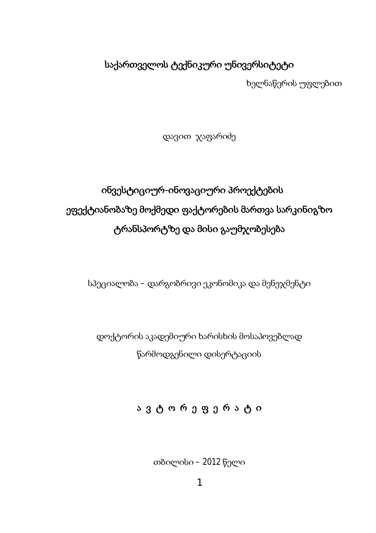# საქართველოს ტექნიკური უნივერსიტეტი

ხელნაწერის უფლებით

დავით ჯაფარიძე

# ob3ესტიციურ-obოვაციური პროექტების ეფექტიანობაზე მოქმედი ფაქტორების მართვა სარკინიგზო ტრანსპორტზე და მისი გაუმჯობესება

სპეციალობა – დარგობრივი ეკონომიკა და მენეჯმენტი

დოქტორის აკადემიური ხარისხის მოსაპოვებლად წარმოდგენილი დისერტაციის

# ავტორეფერატი

თბილისი – 2012 წელი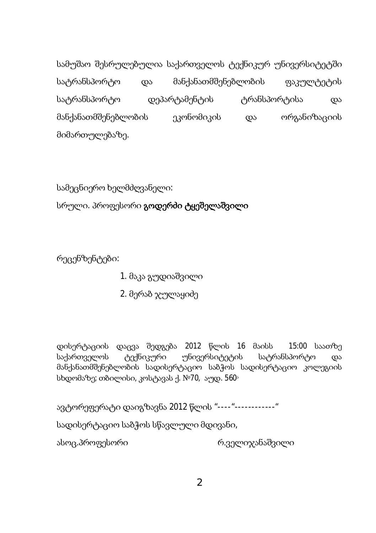სამუშაო შესრულებულია საქართველოს ტექნიკურ უნივერსიტეტში სატრანსპორტო და მანქანათმშენებლობის ფაკულტეტის სატრანსპორტო დეპარტამენტის ტრანსპორტისა და მანქანათმშენებლობის ეკონომიკის და ორგანიზაციის მიმართულებაზე.

სამეცნიერო ხელმძღვანელი:

სრული. პროფესორი გოდერძი ტყეშელაშვილი

რეცენზენტები:

- 1. მაკა გუდიაშვილი
- 2. მერაბ ჯულაყიძე

დისერტაციის დაცვა შედგება 2012 წლის 16 მაისს 15:00 საათზე საქართველოს ტექნიკური უნივერსიტეტის სატრანსპორტო და მანქანათმშენებლობის სადისერტაციო საბჭოს სადისერტაციო კოლეგიის სხდომაზე; თბილისი, კოსტავას ქ. №70, აუდ. 560

ავტორეფერატი დაიგზავნა 2012 წლის "----"------------"

სადისერტაციო საბჭოს სწავლული მდივანი,

ასოც.პროფესორი იასახალი რ.ველიჯანაშვილი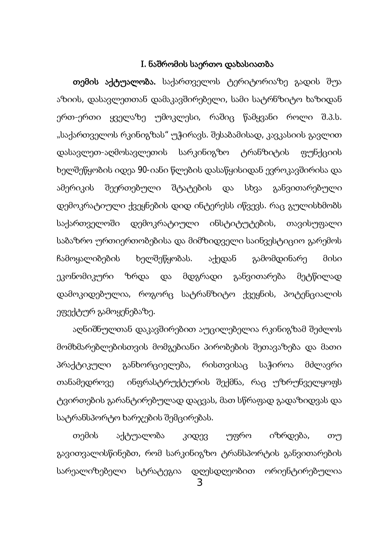### I. წაშრომის საერთო დახასიათბა

თემის აქტუალობა. საქართველოს ტერიტორიაზე გადის შუა აზიის, დასავლეთთან დამაკავშირებელი, სამი სატრნზიტო ხაზიდან ერთ-ერთი ყველაზე უმოკლესი, რაშიც წამყვანი როლი შ.პ.ს. "საქართველოს რკინიგზას" უჭირავს. შესაბამისად, კავკასიის გავლით დასავლეთ-აღმოსავლეთის სარკინიგზო ტრანზიტის ფუნქციის ხელშეწყობის იდეა 90-იანი წლების დასაწყისიდან ევროკავშირისა და ამერიკის შეერთებული შტატების და სხვა განვითარებული დემოკრატიული ქვეყნების დიდ ინტერესს იწვევს. რაც გულისხმობს საქართველოში დემოკრატიული ინსტიტუტების, თავისუფალი საბაზრო ურთიერთობებისა და მიმზიდველი საინვესტიციო გარემოს ჩამოყალიბების ხელშეწყობას. აქედან გამომდინარე მისი ეკონომიკური ზრდა და მდგრადი განვითარება მეტწილად დამოკიდებულია, როგორც სატრანზიტო ქვეყნის, პოტენციალის ეფექტურ გამოყენებაზე.

აღნიშნულთან დაკავშირებით აუცილებელია რკინიგზამ შეძლოს მომხმარებლებისთვის მომგებიანი პირობების შეთავაზება და მათი პრაქტიკული განხორციელება, რისთვისაც საჭიროა მძლავრი თანამედროვე ინფრასტრუქტურის შექმნა, რაც უზრუნველყოფს ტვირთების გარანტირებულად დაცვას, მათ სწრაფად გადაზიდვას და სატრანსპორტო ხარჯების შემცირებას.

თემის აქტუალობა კიდევ უფრო იზრდება, თუ გავითვალისწინებთ, რომ სარკინიგზო ტრანსპორტის განვითარების სარეალიზებელი სტრატეგია დღესდღეობით ორიენტირებულია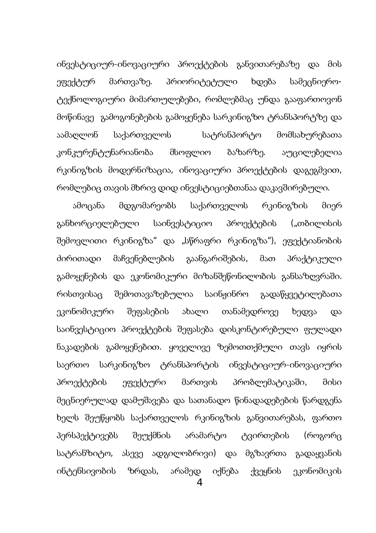ინვესტიციურ-ინოვაციური პროექტების განვითარებაზე და მის ეფექტურ მართვაზე. პრიორიტეტული ხდება სამეცნიეროტექნოლოგიური მიმართულებები, რომლებმაც უნდა გააფართოვონ მოწინავე გამოგონებების გამოყენება სარკინიგზო ტრანსპორტზე და აამაღლონ საქართველოს სატრანპორტო მომსახურებათა კონკურენტუნარიანობა მსოფლიო ბაზარზე. აუცილებელია რკინიგზის მოდერნიზაცია, ინოვაციური პროექტების დაგეგმვით, რომლებიც თავის მხრივ დიდ ინვესტიციებთანაა დაკავშირებული.

ამოცანა მდგომარეობს საქართველოს რკინიგზის მიერ განხორციელებული საინვესტიციო პროექტების ("თბილისის შემოვლითი რკინიგზა" და "სწრაფრი რკინიგზა"), ეფექტიანობის ძირითადი მაჩვენებლების გაანგარიშების, მათ პრაქტიკული გამოყენების და ეკონომიკური მიზანშეწონილობის განსაზღვრაში. რისთვისაც შემოთავაზებულია საინჟინრო გადაწყვეტილებათა ეკონომიკური შეფასების ახალი თანამედროვე ხედვა და საინვესტიციო პროექტების შეფასება დისკონტირებული ფულადი ნაკადების გამოყენებით. ყოველივე ზემოთთქმული თავს იყრის საერთო სარკინიგზო ტრანსპორტის ინვესტიციურ-ინოვაციური პროექტების ეფექტური მართვის პრობლემატიკაში, მისი მეცნიერულად დამუშავება და სათანადო წინადადებების წარდგენა ხელს შეუწყობს საქართველოს რკინიგზის განვითარებას, ფართო პერსპექტივებს შეუქმნის არამარტო ტვირთების (როგორც სატრანზიტო, ასევე ადგილობრივი) და მგზავრთა გადაყვანის ინტენსივობის ზრდას, არამედ იქნება ქვეყნის ეკონომიკის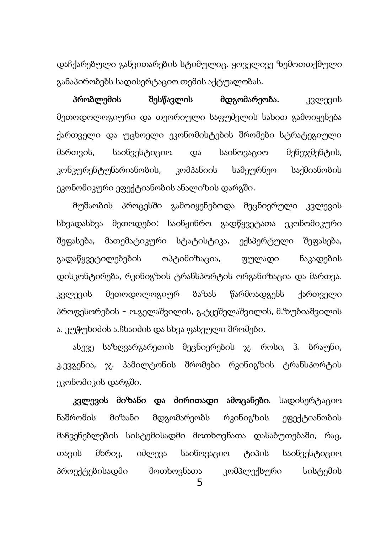დაჩქარებული განვითარების სტიმულიც. ყოველივე ზემოთთქმული განაპირობებს სადისერტაციო თემის აქტუალობას.

პრობლემის შესწავლის მდგომარეობა. კვლევის მეთოდოლოგიური და თეორიული საფუძვლის სახით გამოიყენება ქართველი და უცხოელი ეკონომისტების შრომები სტრატეგიული მართვის, საინვესტიციო და საინოვაციო მენეჯმენტის, კონკურენტუნარიანობის, კომპანიის სამეურნეო საქმიანობის ეკონომიკური ეფექტიანობის ანალიზის დარგში.

მუშაობის პროცესში გამოიყენებოდა მეცნიერული კვლევის სხვადასხვა მეთოდები: საინჟინრო გადწყვეტათა ეკონომიკური შეფასება, მათემატიკური სტატისტიკა, ექსპერტული შეფასება, გადაწყვეტილებების ოპტიმიზაცია, ფულადი ნაკადების დისკონტირება, რკინიგზის ტრანსპორტის ორგანიზაცია და მართვა. კვლევის მეთოდოლოგიურ ბაზას წარმოადგენს ქართველი პროფესორების – ო.გელაშვილის, გ.ტყეშელაშვილის, მ.ზუბიაშვილის ა. კუჭუხიძის ა.ჩხაიძის და სხვა ფასეული შრომები.

ასევე საზღვარგარეთის მეცნიერების ჯ. როსი, ჰ. ბრაუნი, კ.ევგენია, ჯ. ჰამილტონის შრომები რკინიგზის ტრანსპორტის ეკონომიკის დარგში.

კვლევის მიზანი და ძირითადი ამოცანები. სადისერტაციო ნაშრომის მიზანი მდგომარეობს რკინიგზის ეფექტიანობის მაჩვენებლების სისტემისადმი მოთხოვნათა დასაბუთებაში, რაც, თავის მხრივ, იძლევა საინოვაციო ტიპის საინვესტიციო პროექტებისადმი მოთხოვნათა კომპლექსური სისტემის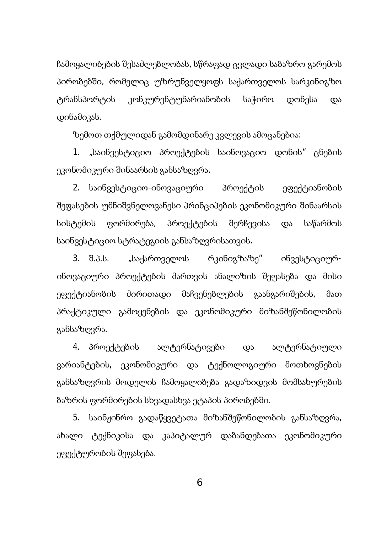ჩამოყალიბების შესაძლებლობას, სწრაფად ცვლადი საბაზრო გარემოს პირობებში, რომელიც უზრუნველყოფს საქართველოს სარკინიგზო ტრანსპორტის კონკურენტუნარიანობის საჭირო დონესა და დინამიკას.

ზემოთ თქმულიდან გამომდინარე კვლევის ამოცანებია:

1. "საინვესტიციო პროექტების საინოვაციო დონის" ცნების ეკონომიკური შინაარსის განსაზღვრა.

2. საინვესტიციო-ინოვაციური პროექტის ეფექტიანობის შეფასების უმნიშვნელოვანესი პრინციპების ეკონომიკური შინაარსის სისტემის ფორმირება, პროექტების შერჩევისა და საწარმოს საინვესტიციო სტრატეგიის განსაზღვრისათვის.

3. შ.პ.ს. "საქართველოს რკინიგზაზე" ინვესტიციურინოვაციური პროექტების მართვის ანალიზის შეფასება და მისი ეფექტიანობის ძირითადი მაჩვენებლების გაანგარიშების, მათ პრაქტიკული გამოყენების და ეკონომიკური მიზანშეწონილობის განსაზღვრა.

4. პროექტების ალტერნატივები და ალტერნატიული ვარიანტების, ეკონომიკური და ტექნოლოგიური მოთხოვნების განსაზღვრის მოდელის ჩამოყალიბება გადაზიდვის მომსახურების ზაზრის ფორმირების სხვადასხვა ეტაპის პირობებში.

5. საინჟინრო გადაწყვეტათა მიზანშეწონილობის განსაზღვრა, ახალი ტექნიკისა და კაპიტალურ დაბანდებათა ეკონომიკური ეფექტურობის შეფასება.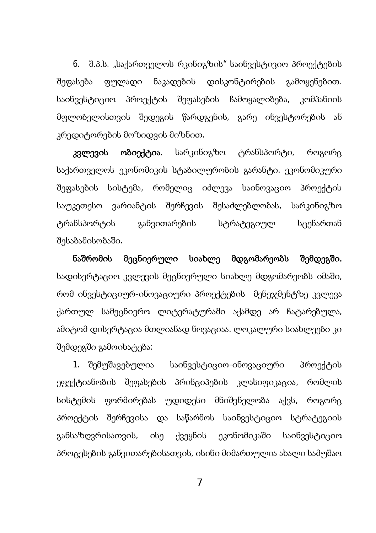6. შ.პ.ს. "საქართველოს რკინიგზის" საინვესტივიო პროექტების შეფასება ფულადი ნაკადების დისკონტირების გამოყენებით. საინვესტიციო პროექტის შეფასების ჩამოყალიბება, კომპანიის მფლობელისთვის შედეგის წარდგენის, გარე ინვესტორების ან კრედიტორების მოზიდვის მიზნით.

კვლევის ობიექტია. სარკინიგზო ტრანსპორტი, როგორც საქართველოს ეკონომიკის სტაბილურობის გარანტი. ეკონომიკური შეფასების სისტემა, რომელიც იძლევა საინოვაციო პროექტის საუკეთესო ვარიანტის შერჩევის შესაძლებლობას, სარკინიგზო ტრანსპორტის განვითარების სტრატეგიულ სცენართან შესაბამისობაში.

ნაშრომის მეცნიერული სიახლე მდგომარეობს შემდეგში. სადისერტაციო კვლევის მეცნიერული სიახლე მდგომარეობს იმაში, რომ ინვესტიციურ-ინოვაციური პროექტების მენეჯმენტზე კვლევა ქართულ სამეცნიერო ლიტერატურაში აქამდე არ ჩატარებულა, ამიტომ დისერტაცია მთლიანად ნოვაციაა. ლოკალური სიახლეები კი შემდეგში გამოიხატება:

1. შემუშავებულია საინვესტიციო-ინოვაციური პროექტის ეფექტიანობის შეფასების პრინციპების კლასიფიკაცია, რომლის სისტემის ფორმირებას უდიდესი მნიშვნელობა აქვს, როგორც პროექტის შერჩევისა და საწარმოს საინვესტიციო სტრატეგიის განსაზღვრისათვის, ისე ქვეყნის ეკონომიკაში საინვესტიციო პროცესების განვითარებისათვის, ისინი მიმართულია ახალი სამუშაო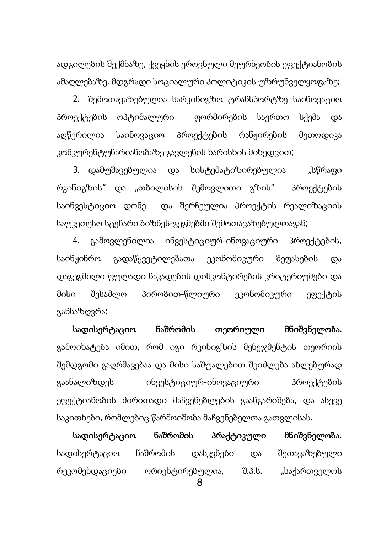ადგილების შექმნაზე, ქვეყნის ეროვნული მეურნეობის ეფექტიანობის ამაღლებაზე, მდგრადი სოციალური პოლიტიკის უზრუნველყოფაზე;

2. შემოთავაზებულია სარკინიგზო ტრანსპორტზე საინოვაციო პროექტების ოპტიმალური — ფორმირების საერთო სქემა და აღწერილია საინოვაციო პროექტების რანჟირების მეთოდიკა კონკურენტუნარიანობაზე გავლენის ხარისხის მიხედვით;

3. დამუშავებულია და სისტემატიზირებულია "სწრაფი რკინიგზის" და "თბილისის შემოვლითი გზის" პროექტების საინვესტიციო დონე და შერჩეულია პროექტის რეალიზაციის საუკეთესო სცენარი ბიზნეს-გეგმებში შემოთავაზებულთაგან;

4. გამოვლენილია ინვესტიციურ-ინოვაციური პროექტების, საინჟინრო გადაწყვეტილებათა ეკონომიკური შეფასების და დაგეგმილი ფულადი ნაკადების დისკონტირების კრიტერიუმები და მისი შესაძლო პირობით-წლიური ეკონომიკური ეფექტის განსაზღვრა;

სადისერტაციო ნაშრომის თეორიული მნიშვნელობა. გამოიხატება იმით, რომ იგი რკინიგზის მენეჯმენტის თეორიის შემდგომი გაღრმავებაა და მისი საშუალებით შეიძლება ახლებურად გაანალიზდეს ინვესტიციურ-ინოვაციური პროექტების ეფექტიანობის ძირითადი მაჩვენებლების გაანგარიშება, და ასევე საკითხები, რომლებიც წარმოიშობა მაჩვენებელთა გათვლისას.

სადისერტაციო ნაშრომის პრაქტიკული მნიშვნელობა. სადისერტაციო ნაშრომის დასკვნები და შეთავაზებული რეკომენდაციები ორიენტირებულია, შ.პ.ს. "საქართველოს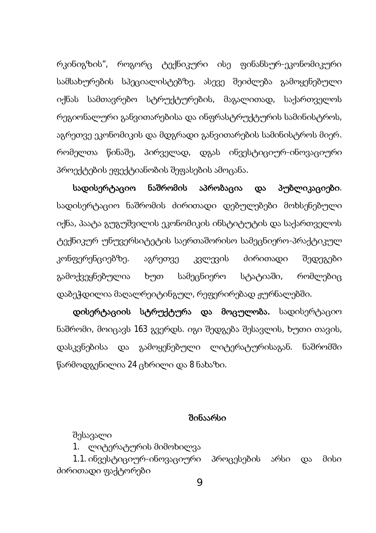რკინიგზის", როგორც ტექნიკური ისე ფინანსურ-ეკონომიკური სამსახურების სპეციალისტებზე. ასევე შეიძლება გამოყენებული იქნას სამთავრებო სტრუქტურების, მაგალითად, საქართველოს რეგიონალური განვითარებისა და ინფრასტრუქტურის სამინისტროს, აგრეთვე ეკონომიკის და მდგრადი განვითარების სამინისტროს მიერ. რომელთა წინაშე, პირველად, დგას ინვესტიციურ-ინოვაციური პროექტების ეფექტიანობის შეფასების ამოცანა.

სადისერტაციო ნაშრომის აპრობაცია და პუბლიკაციები. სადისერტაციო ნაშრომის ძირითადი დებულებები მოხსენებული იქნა, პაატა გუგუშვილის ეკონომიკის ინსტიტუტის და საქართველოს ტექნიკურ უნუვერსიტეტის საერთაშორისო სამეცნიერო-პრაქტიკულ კონფერენციებზე. აგრეთვე კვლევის ძირითადი შედეგები გამოქვეყნებულია ხუთ სამეცნიერო სტატიაში, რომლებიც დაბეჭდილია მაღალრეიტინგულ, რეფერირებად ჟურნალებში.

დისერტაციის სტრუქტურა და მოცულობა. სადისერტაციო ნაშრომი, მოიცავს 163 გვერდს. იგი შედგება შესავლის, ხუთი თავის, დასკვნებისა და გამოყენებული ლიტერატურისაგან. ნაშრომში წარმოდგენილია 24 ცხრილი და 8 ნახაზი.

#### შინაარსი

შესავალი

1. ლიტერატურის მიმოხილვა

1.1. ინვესტიციურ-ინოვაციური პროცესების არსი და მისი ძირითადი ფაქტორები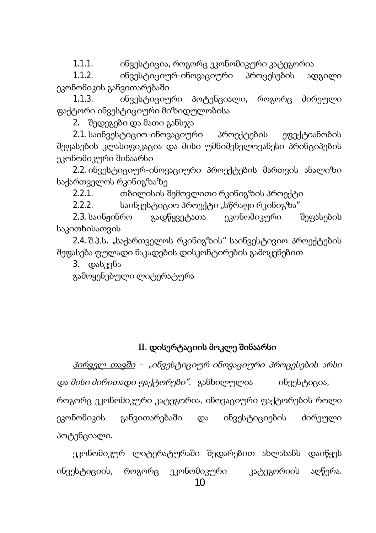1.1.1. ინვესტიცია, როგორც ეკონომიკური კატეგორია

1.1.2. ინვესტიციურ-ინოვაციური პროცესების ადგილი ეკონომიკის განვითარებაში

1.1.3. ინვესტიციური პოტენციალი, როგორც ძირეული ფაქტორი ინვესტიციური მიზიდულობისა

2. შედეგები და მათი განსჯა

2.1. საინვესტიციო-ინოვაციური პროექტების ეფექტიანობის შეფასების კლასიფიკაცია და მისი უმნიშვნელოვანესი პრინციპების ეკონომიკური შინაარსი

2.2. ob3ესტიციურ-obოვაციური პროექტების მართვის ანალიზი საქართველოს რკინიგზაზე

2.2.1. თბილისის შემოვლითი რკინიგზის პროექტი

2.2.2. საინვესტიციო პროექტი "სწრაფი რკინიგზა"

2.3. საინჟინრო გადწყვეტათა ეკონომიკური შეფასების საკითხისათვის

2.4. შ.3.ს. "საქართველოს რკინიგზის" საინვესტივიო პროექტების შეფასება ფულადი ნაკადების დისკონტირების გამოყენებით

3. დასკვნა

გამოყენებული ლიტერატურა

### II. დისერტაციის მოკლე შინაარსი

<u>პირველ თავში</u> – "ინვესტიციურ-ინოვაციური პროცესების არსი დ*ა მისი ძირითადი ფაქტორები".* განხილულია ინვესტიცია, როგორც ეკონომიკური კატეგორია, ინოვაციური ფაქტორების როლი ეკონომიკის განვითარებაში და ინვესტიციების ძირეული პოტენციალი.

ეკონომიკურ ლიტერატურაში შედარებით ახლახანს დაიწყეს ინვესტიციის, როგორც ეკონომიკური კატეგორიის აღწერა.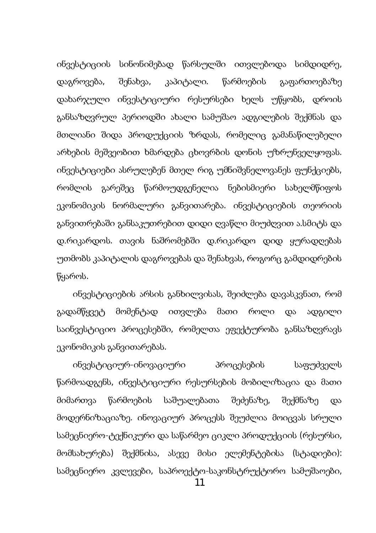ინვესტიციის სინონიმებად წარსულში ითვლებოდა სიმდიდრე, დაგროვება, შენახვა, კაპიტალი. წარმოების გაფართოებაზე დახარჯული ინვესტიციური რესურსები ხელს უწყობს, დროის განსაზღვრულ პერიოდში ახალი სამუშაო ადგილების შექმნას და მთლიანი შიდა პროდუქციის ზრდას, რომელიც გამანაწილებელი არხების მეშვეობით ხმარდება ცხოვრბის დონის უზრუნველყოფას. ინვესტიციები ასრულებენ მთელ რიგ უმნიშვნელოვანეს ფუნქციებს, რომლის გარეშეც წარმოუდგენელია ნებისმიერი სახელმწიფოს ეკონომიკის ნორმალური განვითარება. ინვესტიციების თეორიის განვითრებაში განსაკუთრებით დიდი ღვაწლი მიუძღვით ა.სმიტს და დ.რიკარდოს. თავის ნაშრომებში დ.რიკარდო დიდ ყურადღებას უთმობს კაპიტალის დაგროვებას და შენახვას, როგორც გამდიდრების წყაროს.

ინვესტიციების არსის განხილვისას, შეიძლება დავასკვნათ, რომ გადამწყვეტ მომენტად ითვლება მათი როლი და ადგილი საინვესტიციო პროცესებში, რომელთა ეფექტურობა განსაზღვრავს ეკონომიკის განვითარებას.

ინვესტიციურ-ინოვაციური პროცესების საფუძველს წარმოადგენს, ინვესტიციური რესურსების მობილიზაცია და მათი მიმართვა წარმოების საშუალებათა შეძენაზე, შექმნაზე და მოდერნიზაციაზე. ინოვაციურ პროცესს შეუძლია მოიცვას სრული სამეცნიერო-ტექნიკური და საწარმეო ციკლი პროდუქციის (რესურსი, მომსახურება) შექმნისა, ასევე მისი ელემენტებისა (სტადიები): სამეცნიერო კვლევები, საპროექტო-საკონსტრუქტორო სამუშაოები,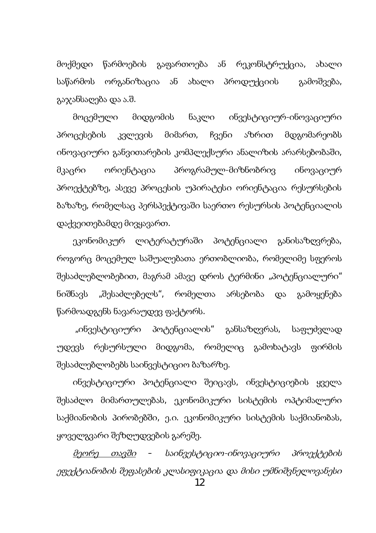მოქმედი წარმოების გაფართოება ან რეკონსტრუქცია, ახალი საწარმოს ორგანიზაცია ან ახალი პროდუქციის გამოშვება, გაჯანსაღება და ა.შ.

მოცემული მიდგომის ნაკლი ინვესტიციურ-ინოვაციური პროცესების კვლევის მიმართ, ჩვენი აზრით მდგომარეობს ინოვაციური განვითარების კომპლექსური ანალიზის არარსებობაში, მკაცრი ორიენტაცია პროგრამულ-მიზნობრივ ინოვაციურ პროექტებზე, ასევე პროცესის უპირატესი ორიენტაცია რესურსების ბაზაზე, რომელსაც პერსპექტივაში საერთო რესურსის პოტენციალის დაქვეითებამდე მივყავართ.

ეკონომიკურ ლიტერატურაში პოტენციალი განისაზღვრება, როგორც მოცემულ საშუალებათა ერთობლიობა, რომელიმე სფეროს შესაძლებლობებით, მაგრამ ამავე დროს ტერმინი "პოტენციალური" ნიშნავს "შესაძლებელს", რომელთა არსებობა და გამოყენება წარმოადგენს ნავარაუდევ ფაქტორს.

"ინვესტიციური პოტენციალის" განსაზღვრას, საფუძვლად უდევს რესურსული მიდგომა, რომელიც გამოხატავს ფირმის შესაძლებლობებს საინვესტიციო ბაზარზე.

ინვესტიციური პოტენციალი შეიცავს, ინვესტიციების ყველა შესაძლო მიმართულებას, ეკონომიკური სისტემის ოპტიმალური საქმიანობის პირობებში, ე.ი. ეკონომიკური სისტემის საქმიანობას, ყოველგვარი შეზღუდვების გარეშე.

<u>მეორე თავში</u> – საინვესტიციო-ინოვაციური პროექტების ეფექტიანობის შეფასების კლასიფიკაცია და მისი უმნიშვნელოვანესი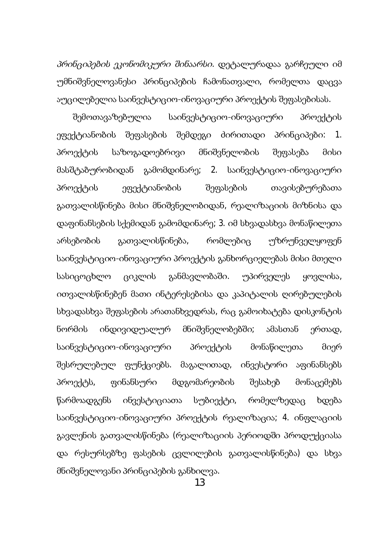პრინციპების ეკონომიკური შინაარსი. დეტალურადაა გარჩეული იმ უმნიშვნელოვანესი პრინციპების ჩამონათვალი, რომელთა დაცვა აუცილებელია საინვესტიციო-ინოვაციური პროექტის შეფასებისას.

შემოთავაზებულია საინვესტიციო-ინოვაციური პროექტის ეფექტიანობის შეფასების შემდეგი ძირითადი პრინციპები: 1. პროექტის საზოგადოებრივი მნიშვნელობის შეფასება მისი მასშტაბურობიდან გამომდინარე; 2. საინვესტიციო-ინოვაციური პროექტის ეფექტიანობის შეფასების თავისებურებათა გათვალისწინება მისი მნიშვნელობიდან, რეალიზაციის მიზნისა და დაფინანსების სქემიდან გამომდინარე; 3. იმ სხვადასხვა მონაწილეთა არსებობის გათვალისწინება, რომლებიც უზრუნველყოფენ საინვესტიციო-ინოვაციური პროექტის განხორციელებას მისი მთელი სასიცოცხლო ციკლის განმავლობაში. უპირველეს ყოვლისა, ითვალისწინებენ მათი ინტერესებისა და კაპიტალის ღირებულების სხვადასხვა შეფასების არათანხვედრას, რაც გამოიხატება დისკონტის წორმის ინდივიდუალურ მნიშვნელობებში; ამასთან ერთად, საინვესტიციო-ინოვაციური პროექტის მონაწილეთა მიერ შესრულებულ ფუნქციებს. მაგალითად, ინვესტორი აფინანსებს პროექტს, ფინანსური მდგომარეობის შესახებ მონაცემებს წარმოადგენს ინვესტიციათა სუბიექტი, რომელზედაც ხდება საინვესტიციო-ინოვაციური პროექტის რეალიზაცია; 4. ინფლაციის გავლენის გათვალისწინება (რეალიზაციის პერიოდში პროდუქციასა და რესურსებზე ფასების ცვლილების გათვალისწინება) და სხვა მნიშვნელოვანი პრინციპების განხილვა.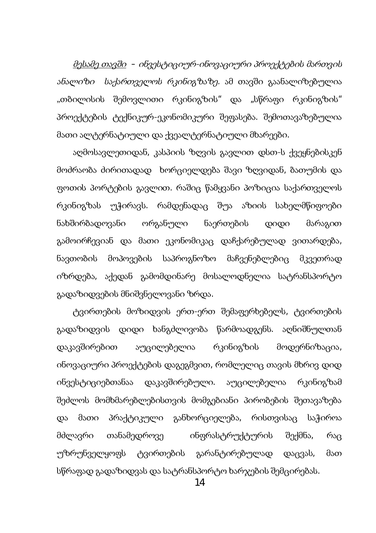<u>მესამე თავში</u> – ინვესტიციურ-ინოვაციური პროექტების მართვის ანალიზი საქართველოს რკინიგზაზე. ამ თავში გაანალიზებულია "თბილისის შემოვლითი რკინიგზის" და "სწრაფი რკინიგზის" პროექტების ტექნიკურ-ეკონომიკური შეფასება. შემოთავაზებულია მათი ალტერნატიული და ქვეალტერნატიული მხარეები.

აღმოსავლეთიდან, კასპიის ზღვის გავლით დსთ-ს ქვეყნებისკენ მოძრაობა ძირითადად ხორციელდება შავი ზღვიდან, ბათუმის და gოთის პორტების გავლით. რაშიც წამყვანი პოზიცია საქართველოს რკინიგზას უჭირავს. რამდენადაც შუა აზიის სახელმწიფოები ნახშირბადოვანი ორგანული ნაერთების დიდი მარაგით გამოირჩევიან და მათი ეკონომიკაც დაჩქარებულად ვითარდება, ნავთობის მოპოვების საპროგნოზო მაჩვენებლებიც მკვეთრად იზრდება, აქედან გამომდინარე მოსალოდნელია სატრანსპორტო გადაზიდვების მნიშვნელოვანი ზრდა.

ტვირთების მოზიდვის ერთ-ერთ შემაფერხებელს, ტვირთების გადაზიდვის დიდი ხანგძლივობა წარმოადგენს. აღნიშნულთან დაკავშირებით აუცილებელია რკინიგზის მოდერნიზაცია, ინოვაციური პროექტების დაგეგმვით, რომლელიც თავის მხრივ დიდ ინვესტიციებთანაა დაკავშირებული. აუცილებელია რკინიგზამ შეძლოს მომხმარებლებისთვის მომგებიანი პირობების შეთავაზება და მათი პრაქტიკული განხორციელება, რისთვისაც საჭიროა მძლავრი თანამედროვე ინფრასტრუქტურის შექმნა, რაც უზრუნველყოფს ტვირთების გარანტირებულად დაცვას, მათ სწრაფად გადაზიდვას და სატრანსპორტო ხარჯების შემცირებას.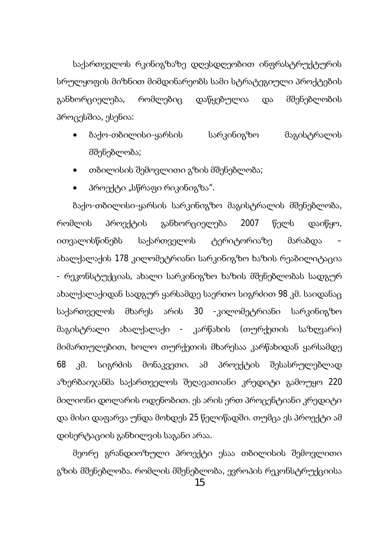საქართველოს რკინიგზაზე დღესდღეობით ინფრასტრუქტურის სრულყოფის მიზნით მიმდინარეობს სამი სტრატეგიული პროქტების განხორციელება, რომლებიც დაწყებულია და მშენებლობის პროცესშია, ესენია:

- ბაქო-თბილისი-ყარსის სარკინიგზო მაგისტრალის მშენებლობა;
- თბილისის შემოვლითი გზის მშენებლობა;
- პროექტი "სწრაფი რიკინიგზა".

ბაქო-თბილისი-ყარსის სარკინიგზო მაგისტრალის მშენებლობა, რომლის პროექტის განხორციელება 2007 წელს დაიწყო, ითვალისწინებს საქართველოს ტერიტორიაზე მარაბდა ახალქალაქის 178 კილომეტრიანი სარკინიგზო ხაზის რეაბილიტაცია - რეკონსტუქციას, ახალი სარკინიგზო ხაზის მშენებლობას სადგურ ახალქალაქიდან სადგურ ყარსამდე საერთო სიგრძით 98 კმ. საიდანაც საქართველოს მხარეს არის 30 -კილომეტრიანი სარკინიგზო მაგისტრალი ახალქალაქი - კარწახის (თურქეთის საზღვარი) მიმართულებით, ხოლო თურქეთის მხარესაა კარწახიდან ყარსამდე 68 კმ. სიგრძის მონაკვეთი. ამ პროექტის შესასრულებლად აზერბაიჯანმა საქართველოს შეღავათიანი კრედიტი გამოუყო 220 მილიონი დოლარის ოდენობით. ეს არის ერთ პროცენტიანი კრედიტი და მისი დაფარვა უნდა მოხდეს 25 წელიწადში. თუმცა ეს პროექტი ამ დისერტაციის განხილვის საგანი არაა.

მეორე გრანდიოზული პროექტი ესაა თბილისის შემოვლითი გზის მშენებლობა. რომლის მშენებლობა, ევროპის რეკონსტრუქციისა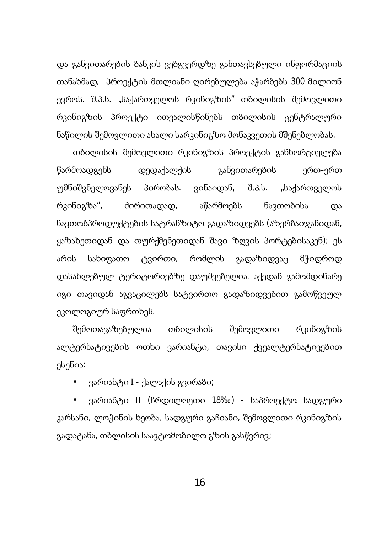და განვითარების ბანკის ვებგვერდზე განთავსებული ინფორმაციის თანახმად, პროექტის მთლიანი ღირებულება აჭარბებს 300 მილიონ ევროს. შ.პ.ს. "საქართველოს რკინიგზის" თბილისის შემოვლითი რკინიგზის პროექტი ითვალისწინებს თბილისის ცენტრალური წაწილის შემოვლითი ახალი სარკინიგზო მონაკვეთის მშენებლობას.

თბილისის შემოვლითი რკინიგზის პროექტის განხორციელება წარმოადგენს დედაქალქის განვითარების ერთ-ერთ უმნიშვნელოვანეს პირობას. ვინაიდან, შ.პ.ს. "საქართველოს რკინიგზა", ძირითადად, აწარმოებს ნავთობისა და ნავთობპროდუქტების სატრანზიტო გადაზიდვებს (აზერბაიჯანიდან, ყაზახეთიდან და თურქმენეთიდან შავი ზღვის პორტებისაკენ); ეს არის სახიფათო ტვირთი, რომლის გადაზიდვაც მჭიდროდ დასახლებულ ტერიტორიებზე დაუშვებელია. აქედან გამომდინარე იგი თავიდან აგვაცილებს სატვირთო გადაზიდვებით გამოწვეულ ეკოლოგიურ საფრთხეს.

შემოთავაზებულია თბილისის შემოვლითი რკინიგზის ალტერნატივების ოთხი ვარიანტი, თავისი ქვეალტერნატივებით ესენია:

• ვარიანტი I - ქალაქის გვირაბი;

ვარიანტი II (ჩრდილოეთი 18‰) - საპროექტო სადგური კარსანი, ლოჭინის ხეობა, სადგური გაჩიანი, შემოვლითი რკინიგზის გადატანა, თბლისის საავტომობილო გზის გასწვრივ;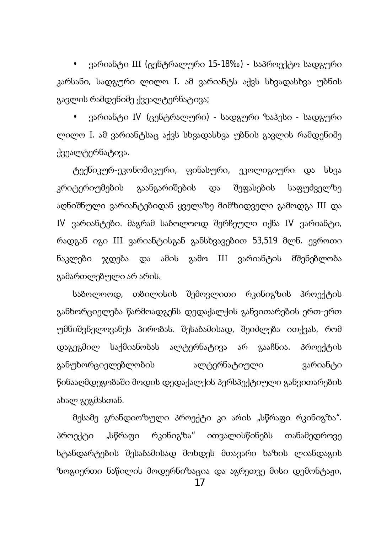• ვარიანტი III (ცენტრალური 15-18‰) - საპროექტო სადგური კარსანი, სადგური ლილო I. ამ ვარიანტს აქვს სხვადასხვა უბნის გავლის რამდენიმე ქვეალტერნატივა;

ვარიანტი IV (ცენტრალური) - სადგური ზაჰესი - სადგური ლილო I. ამ ვარიანტსაც აქვს სხვადასხვა უბნის გავლის რამდენიმე ქვეალტერნატივა.

ტექნიკურ-ეკონომიკური, ფინასური, ეკოლიგიური და სხვა კრიტერიუმების გაანგარიშების და შეფასების საფუძველზე აღნიშნული ვარიანტებიდან ყველაზე მიმზიდველი გამოდგა III და IV ვარიანტები. მაგრამ საბოლოოდ შერჩეული იქნა IV ვარიანტი, რადგან იგი III ვარიანტისგან განსხვავებით 53,519 მლნ. ევროთი ნაკლები ჯდება და ამის გამო III ვარიანტის მშენებლობა გამართლებული არ არის.

საბოლოოდ, თბილისის შემოვლითი რკინიგზის პროექტის განხორციელება წარმოადგენს დედაქალქის განვითარების ერთ-ერთ უმნიშვნელოვანეს პირობას. შესაბამისად, შეიძლება ითქვას, რომ დაგეგმილ საქმიანობას ალტერნატივა არ გააჩნია. პროექტის განუხორციელებლობის ალტერნატიული ჭარიანტი წინააღმდეგობაში მოდის დედაქალქის პერსპექტიული განვითარების ახალ გეგმასთან.

მესამე გრანდიოზული პროექტი კი არის "სწრაფი რკინიგზა". პროექტი "სწრაფი რკინიგზა" ითვალისწინებს თანამედროვე სტანდარტების შესაბამისად მოხდეს მთავარი ხაზის ლიანდაგის ზოგიერთი ნაწილის მოდერნიზაცია და აგრეთვე მისი დემონტაჟი,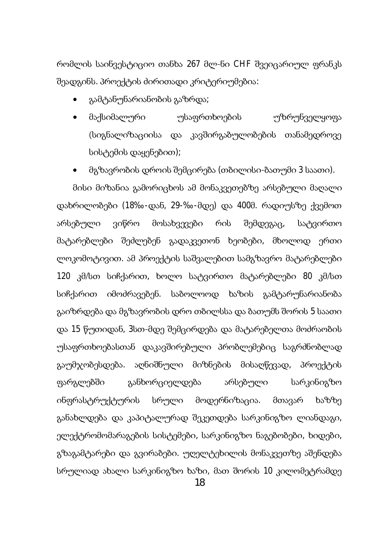რომლის საინვესტიციო თანხა 267 მლ-ნი CHF შვეიცარიულ ფრანკს შეადგინს. პროექტის ძირითადი კრიტერიუმებია:

- გამტანუნარიანობის გაზრდა;
- მაქსიმალური უსაფრთხოების უზრუნველყოფა (სიგნალიზაციისა და კავშირგაბულობების თანამედროვე სისტემის დაყენებით);
- მგზავრობის დროის შემცირება (თბილისი-ბათუმი 3 საათი).

მისი მიზანია გამორიცხოს ამ მონაკვეთებზე არსებული მაღალი დახრილობები (18‰-დან, 29-‰-მდე) და 400მ. რადიუსზე ქვემოთ არსებული ვიწრო მოსახვევები რის შემდეგაც, სატვირთო მატარებლები შეძლებენ გადაკვეთონ ხეობები, მხოლოდ ერთი ლოკომოტივით. ამ პროექტის საშვალებით სამგზავრო მატარებლები 120 კმ/სთ სიჩქარით, ხოლო სატვირთო მატარებლები 80 კმ/სთ სიჩქარით იმოძრავებენ. საბოლოოდ ხაზის გამტარუნარიანობა გაიზრდება და მგზავრობის დრო თბილსსა და ბათუმს შორის 5 საათი და 15 წუთიდან, 3სთ-მდე შემცირდება და მატარებელთა მოძრაობის უსაფრთხოებასთან დაკავშირებული პრობლემებიც საგრძნობლად გაუმჯობესდება. აღნიშნული მიზნების მისაღწევად, პროექტის ფარგლებში განხორციელდება არსებული სარკინიგზო ინფრასტრუქტურის სრული მოდერნიზაცია. მთავარ ხაზზე განახლდება და კაპიტალურად შეკეთდება სარკინიგზო ლიანდაგი, ელექტრომომარაგების სისტემები, სარკინიგზო ნაგებობები, ხიდები, გზაგამტარები და გვირაბები. უღელტეხილის მონაკვეთზე აშენდება სრულიად ახალი სარკინიგზო ხაზი, მათ შორის 10 კილომეტრამდე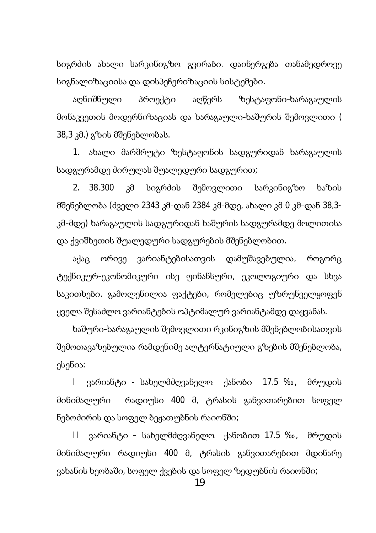სიგრძის ახალი სარკინიგზო გვირაბი. დაინერგება თანამედროვე სიგნალიზაციისა და დისპეჩერიზაციის სისტემები.

აღნიშნული პროექტი აღწერს ზესტაფონი-ხარაგაულის მონაკვეთის მოდერნიზაციას და ხარაგაული-ხაშურის შემოვლითი ( 38,3 კმ.) გზის მშენებლობას.

1. ახალი მარშრუტი ზესტაფონის სადგურიდან ხარაგაულის სადგურამდე ძირულას შუალედური სადგურით;

2. 38.300 კმ სიგრძის შემოვლითი სარკინიგზო ხაზის მშენებლობა (ძველი 2343 კმ-დან 2384 კმ-მდე, ახალი კმ 0 კმ-დან 38,3კმ-მდე) ხარაგაულის სადგურიდან ხაშურის სადგურამდე მოლითისა და ქვიშხეთის შუალედური სადგურების მშენებლობით.

აქაც ორივე ვარიანტებისათვის დამუშავებულია, როგორც ტექნიკურ-ეკონომიკური ისე ფინანსური, ეკოლოგიური და სხვა საკითხები. გამოლენილია ფაქტები, რომელებიც უზრუნველყოფენ ყველა შესაძლო ვარიანტების ოპტიმალურ ვარიანტამდე დაყვანას.

ხაშური-ხარაგაულის შემოვლითი რკინიგზის მშენებლობისათვის შემოთავაზებულია რამდენიმე ალტერნატიული გზების მშენებლობა, ესენია:

I ვარიანტი - სახელმძღვანელო ქანობი 17.5 ‰, მრუდის მინიმალური რადიუსი 400 მ, ტრასის განვითარებით სოფელ წებოძირის და სოფელ ბეჟათუბნის რაიონში;

II ვარიანტი – სახელმძღვანელო ქანობით 17.5 ‰, მრუდის მინიმალური რადიუსი 400 მ, ტრასის განვითარებით მდინარე ვახანის ხეობაში, სოფელ ქვების და სოფელ ზედუბნის რაიონში;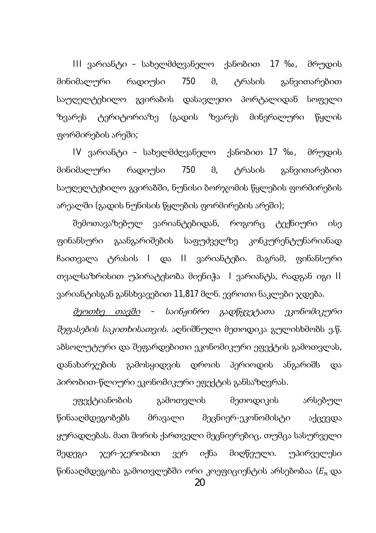III ვარიანტი – სახელმძღვანელო ქანობით 17 ‰, მრუდის მინიმალური რადიუსი 750 მ, ტრასის განვითარებით საუღელტეხილო გვირაბის დასავლეთი პორტალიდან სოფელი ზვარეს ტერიტორიაზე (გადის ზვარეს მინერალური წყლის ფორმირების არეში;

IV ვარიანტი – სახელმძღვანელო ქანობით 17 ‰, მრუდის მინიმალური რადიუსი 750 მ, ტრასის განვითარებით საუღელტეხილო გვირაბში, ნუნისი ბორჯომის წყლების ფორმირების არეალში (გადის ნუნისის წყლების ფორმირების არეში);

შემოთავაზებულ ვარიანტებიდან, როგორც ტექნიური ისე goნანსური გაანგარიშების საფუძველზე კონკურენტუნარიანად ჩაითვალა ტრასის I და II ვარიანტები. მაგრამ, ფინანსური თვალსაზრისით უპირატესობა მიენიჭა | ვარიანტს, რადგან იგი II ვარიანტისგან განსხვავებით 11,817 მლნ. ევროთი ნაკლები ჯდება.

<u>მეოთხე თავში</u> – საინჟინრო გადწყვეტათა ეკონომიკური შეფასების საკითხისათვის. აღნიშნული მეთოდიკა გულისხმობს ე.წ. აბსოლუტური და შეფარდებითი ეკონომიკური ეფექტის გამოთვლას, დანახარჯების გამოსყიდვის დროის პერიოდის ანგარიშს და პირობით-წლიური ეკონომიკური ეფექტის განსაზღვრას.

ეფექტიანობის გამოთვლის მეთოდიკის არსებულ წინააღმდეგობებს მრავალი მეცნიერ-ეკონომისტი აქცევდა ყურადღებას. მათ შორის ქართველი მეცნიერებიც, თუმცა სასურველი შედეგი ჯერ-ჯერობით ვერ იქნა მიღწეული. უპირველესი წინააღმდეგობა გამოთვლებში ორი კოეფიციენტის არსებობაა ( $E_n$  და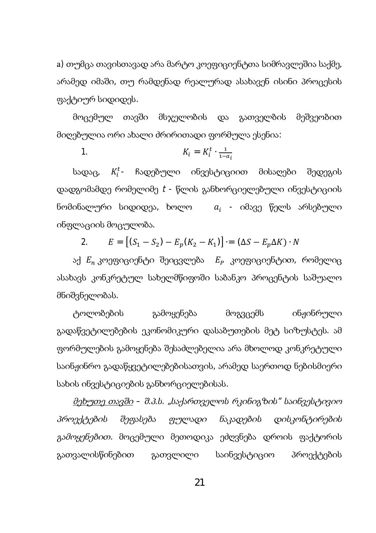a) თუმცა თავისთავად არა მარტო კოეფიციენტთა სიმრავლეშია საქმე, არამედ იმაში, თუ რამდენად რეალურად ასახავენ ისინი პროცესის ფაქტიურ სიდიდეს.

მოცემულ თავში მსჯელობის და გათველბის მეშვეობით მიღებულია ორი ახალი მრირითადი ფორმულა ესენია:

1. 
$$
K_i = K_i^t \cdot \frac{1}{1 - a_i}
$$

სადაც,  $K_i^t$  ჩადებული ინვესტიციით მისაღები შედეგის დადგომამდე რომელიმე  $t$  - წლის განხორციელებული ინვესტიციის ნომინალური სიდიდეა, ხოლო  $\quada_i$  - იმავე წელს არსებული ინფლაციის მოცულობა.

2.  $E = [\mathbf{C}_1 - S_2] - E_p(\mathbf{K}_2 - \mathbf{K}_1)] = (\Delta S - E_p \Delta K) \cdot N$ 

აქ  $E_n$  კოეფიციენტი შეიცვლება  $E_p$  კოეფიციენტით, რომელიც ასახავს კონკრეტულ სახელმწიფოში საბანკო პროცენტის საშუალო მნიშვნელობას.

ტოლობების გამოყენება მოგვცემს ინჟინრული გადაწვეტილებების ეკონომიკური დასაბუთების მეტ სიზუსტეს. ამ gორმულების გამოყენება შესაძლებელია არა მხოლოდ კონკრეტული საინჟინრო გადაწყვეტილებებისათვის, არამედ საერთოდ ნებისმიერი სახის ინვესტიციების განხორციელებისას.

მეხუთე თავში – შ.პ.ს. "საქართველოს რკინიგზის" საინვესტივიო პროექტების შეფასება ფულადი ნაკადების დისკონტირების გ*ამოყენებით.* მოცემული მეთოდიკა ეძღვნება დროის ფაქტორის გათვალისწინებით გათვლილი საინვესტიციო პროექტების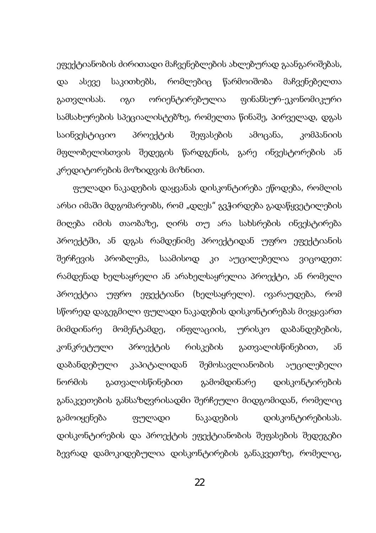ეფექტიანობის ძირითადი მაჩვენებლების ახლებურად გაანგარიშებას, და ასევე საკითხებს, რომლებიც წარმოიშობა მაჩვენებელთა გათვლისას. იგი ორიენტირებულია ფინანსურ-ეკონომიკური სამსახურების სპეციალისტებზე, რომელთა წინაშე, პირველად, დგას საინვესტიციო პროექტის შეფასების ამოცანა, კომპანიის მფლობელისთვის შედეგის წარდგენის, გარე ინვესტორების ან კრედიტორების მოზიდვის მიზნით.

gულადი ნაკადების დაყვანას დისკონტირება ეწოდება, რომლის არსი იმაში მდგომარეობს, რომ "დღეს" გვჭირდება გადაწყვეტილების მიღება იმის თაობაზე, ღირს თუ არა სახსრების ინვესტირება პროექტში, ან დგას რამდენიმე პროექტიდან უფრო ეფექტიანის შერჩევის პრობლემა, საამისოდ კი აუცილებელია ვიცოდეთ: რამდენად ხელსაყრელი ან არახელსაყრელია პროექტი, ან რომელი პროექტია უფრო ეფექტიანი (ხელსაყრელი). ივარაუდება, რომ სწორედ დაგეგმილი ფულადი ნაკადების დისკონტირებას მივყავართ მიმდინარე მომენტამდე, ინფლაციის, ურისკო დაბანდებების, კონკრეტული პროექტის რისკების გათვალისწინებით, ან დაბანდებული კაპიტალიდან შემოსავლიანობის აუცილებელი ნორმის გათვალისწინებით გამომდინარე დისკონტირების განაკვეთების განსაზღვრისადმი შერჩეული მიდგომიდან, რომელიც გამოიყენება ფულადი ნაკადების დისკონტირებისას. დისკონტირების და პროექტის ეფექტიანობის შეფასების შედეგები ზევრად დამოკიდებულია დისკონტირების განაკვეთზე, რომელიც,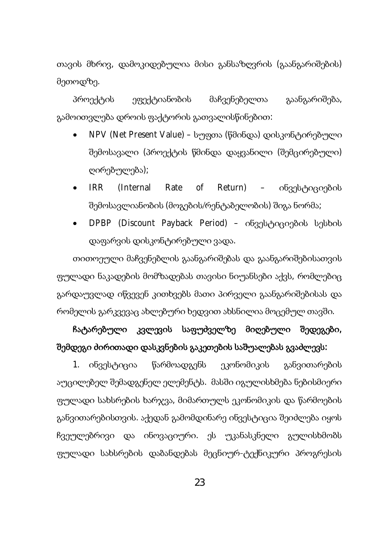თავის მხრივ, დამოკიდებულია მისი განსაზღვრის (გაანგარიშების) მეთოდზე.

პროექტის ეფექტიანობის მაჩვენებელთა გაანგარიშება, გამოითვლება დროის ფაქტორის გათვალისწინებით:

- NPV (Net Present Value) სუფთა (წმინდა) დისკონტირებული შემოსავალი (პროექტის წმინდა დაყვანილი (შემცირებული) დირებულება);
- IRR (Internal Rate of Return) ინვესტიციების შემოსავლიანობის (მოგების/რენტაბელობის) შიგა ნორმა;
- DPBP (Discount Payback Period) ob33bcoo3ob b3bbob დაფარვის დისკონტირებული ვადა.

თითოეული მაჩვენებლის გაანგარიშებას და გაანგარიშებისათვის gულადი ნაკადების მომზადებას თავისი ნიუანსები აქვს, რომლებიც გარდაუვლად იწვევენ კითხვებს მათი პირველი გაანგარიშებისას და რომელის გარკვევაც ახლებური ხედვით ახსნილია მოცემულ თავში.

# ჩატარებული კვლევის საფუძველზე მიღებული შედეგები, შემდეგი ძირითადი დასკვნების გაკეთების საშუალებას გვაძლევს:

1. ინვესტიცია წარმოადგენს ეკონომიკის განვითარების აუცილებელ შემადგენელ ელემენტს. მასში იგულისხმება ნებისმიერი gულადი სახსრების ხარჯვა, მიმართულს ეკონომიკის და წარმოების განვითარებისთვის. აქედან გამომდინარე ინვესტიცია შეიძლება იყოს ჩვეულებრივი და ინოვაციური. ეს უკანასკნელი გულისხმობს gymwscoo სახსრების დაბანდებას მეცნიურ-ტექნიკური პროგრესის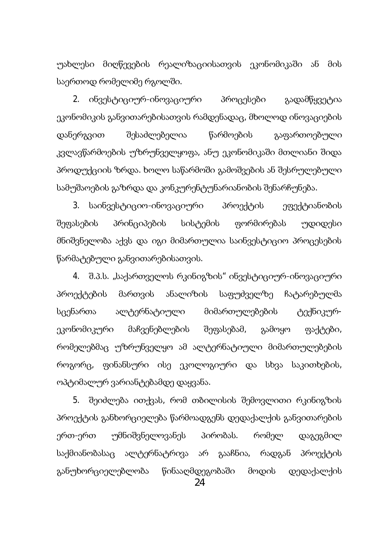უახლესი მიღწევების რეალიზაციისათვის ეკონომიკაში ან მის საერთოდ რომელიმე რგოლში.

2. ინვესტიციურ-ინოვაციური პროცესები გადამწყვეტია ეკონომიკის განვითარებისათვის რამდენადაც, მხოლოდ ინოვაციების დანერგვით შესაძლებელია წარმოების გაფართოებული კვლავწარმოების უზრუნველყოფა, ანუ ეკონომიკაში მთლიანი შიდა პროდუქციის ზრდა. ხოლო საწარმოში გამოშვების ან შესრულებული სამუშაოების გაზრდა და კონკურენტუნარიანობის შენარჩუნება.

3. საინვესტიციო-ინოვაციური პროექტის ეფექტიანობის შეფასების პრინციპების სისტემის ფორმირებას უდიდესი მნიშვნელობა აქვს და იგი მიმართულია საინვესტიციო პროცესების წარმატებული განვითარებისათვის.

4. შ.პ.ს. "საქართველოს რკინიგზის" ინვესტიციურ-ინოვაციური პროექტების მართვის ანალიზის საფუძველზე ჩატარებულმა სცენართა ალტერნატიული მიმართულებების ტექნიკურეკონომიკური მაჩვენებლების შეფასებამ, გამოყო ფაქტები, რომელებმაც უზრუნველყო ამ ალტერნატიული მიმართულებების როგორც, ფინანსური ისე ეკოლოგიური და სხვა საკითხების, ოპტიმალურ ვარიანტებამდე დაყვანა.

5. შეიძლება ითქვას, რომ თბილისის შემოვლითი რკინიგზის პროექტის განხორციელება წარმოადგენს დედაქალქის განვითარების ერთ-ერთ უმნიშვნელოვანეს პირობას. რომელ დაგეგმილ საქმიანობასაც ალტერნატრივა არ გააჩნია, რადგან პროექტის განუხორციელებლობა წინააღმდეგობაში მოდის დედაქალქის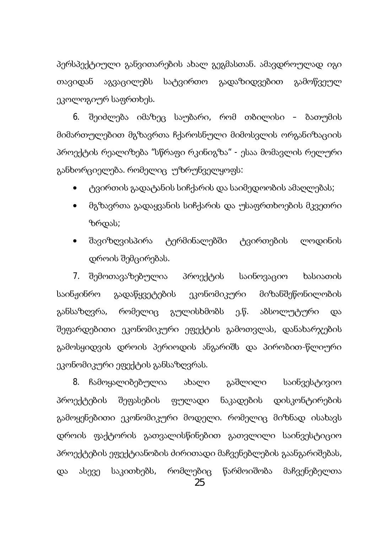პერსპექტიული განვითარების ახალ გეგმასთან. ამავდროულად იგი თავიდან აგვაცილებს სატვირთო გადაზიდვებით გამოწვეულ ეკოლოგიურ საფრთხეს.

6. შეიძლება იმაზეც საუბარი, რომ თბილისი – ბათუმის მიმართულებით მგზავრთა ჩქაროსნული მიმოსვლის ორგანიზაციის პროექტის რეალიზება "სწრაფი რკინიგზა" - ესაა მომავლის რელური განხორციელება. რომელიც უზრუნველყოფს:

- ტვირთის გადატანის სიჩქარის და საიმედოობის ამაღლებას;
- მგზავრთა გადაყვანის სიჩქარის და უსაფრთხოების მკვეთრი ზრდას;
- შავიზღვისპირა ტერმინალებში ტვირთების ლოდინის დროის შემცირებას.

7. შემოთავაზებულია პროექტის საინოვაციო ხასიათის საინჟინრო გადაწყვეტების ეკონომიკური მიზანშეწონილობის განსაზღვრა, რომელიც გულისხმობს ე.წ. აბსოლუტური და შეფარდებითი ეკონომიკური ეფექტის გამოთვლას, დანახარჯების გამოსყიდვის დროის პერიოდის ანგარიშს და პირობით-წლიური ეკონომიკური ეფექტის განსაზღვრას.

8. ჩამოყალიბებულია ახალი გაშლილი საინვესტივიო პროექტების შეფასების ფულადი ნაკადების დისკონტირების გამოყენებითი ეკონომიკური მოდელი. რომელიც მიზნად ისახავს დროის ფაქტორის გათვალისწინებით გათვლილი საინვესტიციო პროექტების ეფექტიანობის ძირითადი მაჩვენებლების გაანგარიშებას, და ასევე საკითხებს, რომლებიც წარმოიშობა მაჩვენებელთა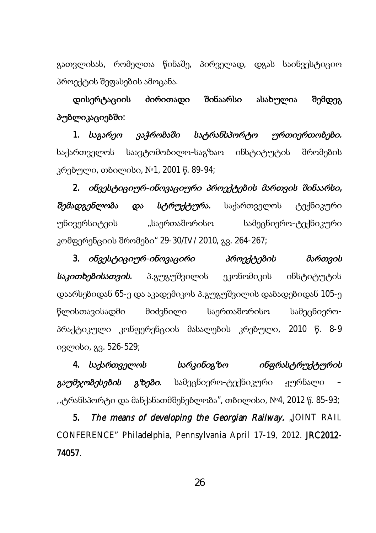გათვლისას, რომელთა წინაშე, პირველად, დგას საინვესტიციო პროექტის შეფასების ამოცანა.

დისერტაციის ძირითადი შინაარსი ასახულია შემდეგ პუბლიკაციებში:

1. საგარეო ვაჭრობაში სატრანსპორტო ურთიერთობები. საქართველოს საავტომობილო-საგზაო ინსტიტუტის შრომების კრებული, თბილისი, №1, 2001 წ. 89-94;

2. ob3gbტo3om6-oba3s30m6o 36agdogoob მართვის შინაარსი, შემადგენლობა და სტრ*ოქტორა*. საქართველოს ტექნიკური უნივერსიტეის "საერთაშორისო სამეცნიერო-ტექნიკური კომფერენციის შრომები" 29-30/IV/ 2010, გვ. 264-267;

3. ob33b690900-obm338000 36m3d69000 36m3000 საკითხებისათვის. პ.გუგუშვილის ეკონომიკის ინსტიტუტის დაარსებიდან 65-ე და აკადემიკოს პ.გუგუშვილის დაბადებიდან 105-ე წლისთავისადმი მიძვნილი საერთაშორისო სამეცნიეროპრაქტიკული კონფერენციის მასალების კრებული, 2010 წ. 8-9 ივლისი, გვ. 526-529;

4. საქართველოს ხარკინიგზო ინფრასტრუქტურის გ*აუმჯობესების გზები.* სამეცნიერო-ტექნიკური ჟურნალი "ტრანსპორტი და მანქანათმშენებლობა″, თბილისი, №4, 2012 წ. 85-93;

5. The means of developing the Georgian Railway. "JOINT RAIL CONFERENCE" Philadelphia, Pennsylvania April 17-19, 2012. JRC2012- 74057.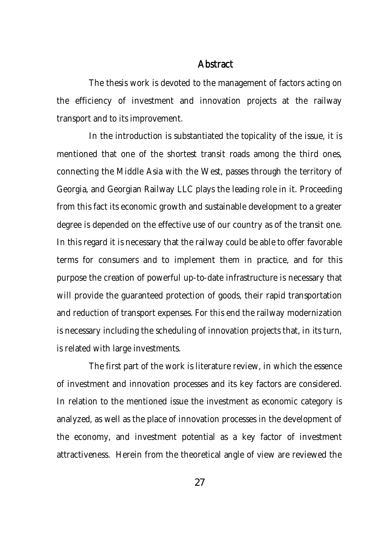### **Abstract**

The thesis work is devoted to the management of factors acting on the efficiency of investment and innovation projects at the railway transport and to its improvement.

In the introduction is substantiated the topicality of the issue, it is mentioned that one of the shortest transit roads among the third ones, connecting the Middle Asia with the West, passes through the territory of Georgia, and Georgian Railway LLC plays the leading role in it. Proceeding from this fact its economic growth and sustainable development to a greater degree is depended on the effective use of our country as of the transit one. In this regard it is necessary that the railway could be able to offer favorable terms for consumers and to implement them in practice, and for this purpose the creation of powerful up-to-date infrastructure is necessary that will provide the guaranteed protection of goods, their rapid transportation and reduction of transport expenses. For this end the railway modernization is necessary including the scheduling of innovation projects that, in its turn, is related with large investments.

The first part of the work is literature review, in which the essence of investment and innovation processes and its key factors are considered. In relation to the mentioned issue the investment as economic category is analyzed, as well as the place of innovation processes in the development of the economy, and investment potential as a key factor of investment attractiveness. Herein from the theoretical angle of view are reviewed the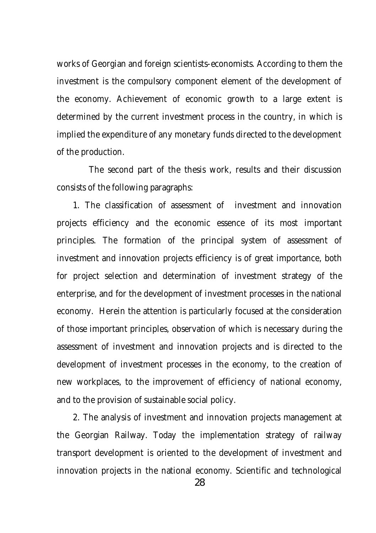works of Georgian and foreign scientists-economists. According to them the investment is the compulsory component element of the development of the economy. Achievement of economic growth to a large extent is determined by the current investment process in the country, in which is implied the expenditure of any monetary funds directed to the development of the production.

The second part of the thesis work, results and their discussion consists of the following paragraphs:

1. The classification of assessment of investment and innovation projects efficiency and the economic essence of its most important principles. The formation of the principal system of assessment of investment and innovation projects efficiency is of great importance, both for project selection and determination of investment strategy of the enterprise, and for the development of investment processes in the national economy. Herein the attention is particularly focused at the consideration of those important principles, observation of which is necessary during the assessment of investment and innovation projects and is directed to the development of investment processes in the economy, to the creation of new workplaces, to the improvement of efficiency of national economy, and to the provision of sustainable social policy.

2. The analysis of investment and innovation projects management at the Georgian Railway. Today the implementation strategy of railway transport development is oriented to the development of investment and innovation projects in the national economy. Scientific and technological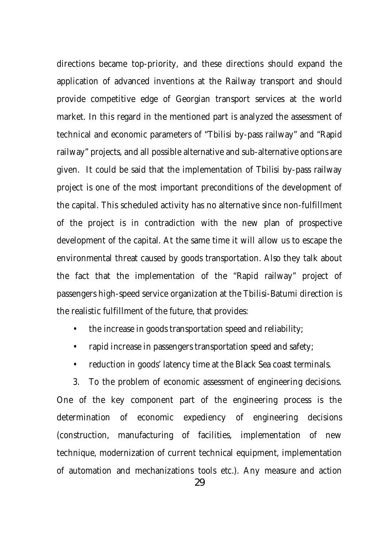directions became top-priority, and these directions should expand the application of advanced inventions at the Railway transport and should provide competitive edge of Georgian transport services at the world market. In this regard in the mentioned part is analyzed the assessment of technical and economic parameters of "Tbilisi by-pass railway" and "Rapid railway" projects, and all possible alternative and sub-alternative options are given. It could be said that the implementation of Tbilisi by-pass railway project is one of the most important preconditions of the development of the capital. This scheduled activity has no alternative since non-fulfillment of the project is in contradiction with the new plan of prospective development of the capital. At the same time it will allow us to escape the environmental threat caused by goods transportation. Also they talk about the fact that the implementation of the "Rapid railway" project of passengers high-speed service organization at the Tbilisi-Batumi direction is the realistic fulfillment of the future, that provides:

- the increase in goods transportation speed and reliability;
- rapid increase in passengers transportation speed and safety;
- reduction in goods' latency time at the Black Sea coast terminals.

3. To the problem of economic assessment of engineering decisions. One of the key component part of the engineering process is the determination of economic expediency of engineering decisions (construction, manufacturing of facilities, implementation of new technique, modernization of current technical equipment, implementation of automation and mechanizations tools etc.). Any measure and action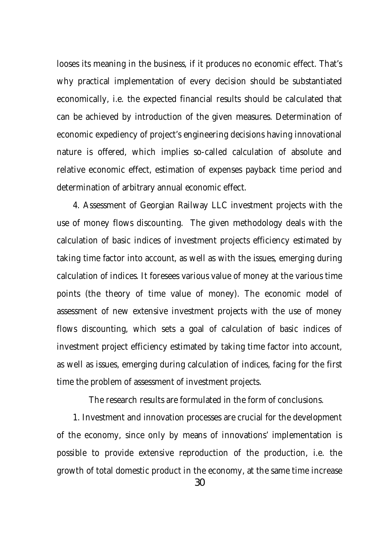looses its meaning in the business, if it produces no economic effect. That's why practical implementation of every decision should be substantiated economically, i.e. the expected financial results should be calculated that can be achieved by introduction of the given measures. Determination of economic expediency of project's engineering decisions having innovational nature is offered, which implies so-called calculation of absolute and relative economic effect, estimation of expenses payback time period and determination of arbitrary annual economic effect.

4. Assessment of Georgian Railway LLC investment projects with the use of money flows discounting. The given methodology deals with the calculation of basic indices of investment projects efficiency estimated by taking time factor into account, as well as with the issues, emerging during calculation of indices. It foresees various value of money at the various time points (the theory of time value of money). The economic model of assessment of new extensive investment projects with the use of money flows discounting, which sets a goal of calculation of basic indices of investment project efficiency estimated by taking time factor into account, as well as issues, emerging during calculation of indices, facing for the first time the problem of assessment of investment projects.

The research results are formulated in the form of conclusions.

1. Investment and innovation processes are crucial for the development of the economy, since only by means of innovations' implementation is possible to provide extensive reproduction of the production, i.e. the growth of total domestic product in the economy, at the same time increase